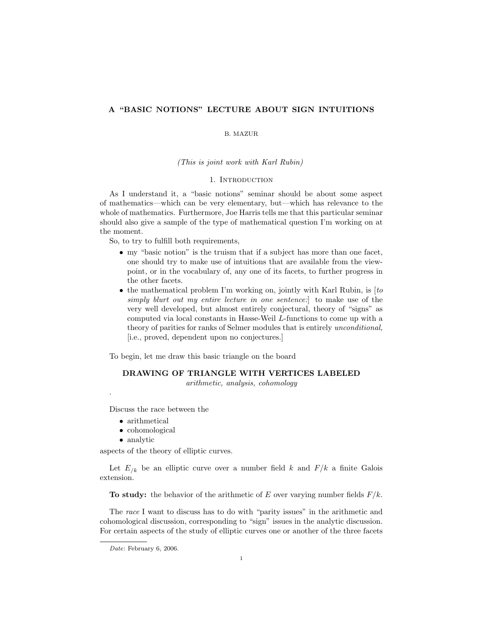# A "BASIC NOTIONS" LECTURE ABOUT SIGN INTUITIONS

### B. MAZUR

### (This is joint work with Karl Rubin)

### 1. INTRODUCTION

As I understand it, a "basic notions" seminar should be about some aspect of mathematics—which can be very elementary, but—which has relevance to the whole of mathematics. Furthermore, Joe Harris tells me that this particular seminar should also give a sample of the type of mathematical question I'm working on at the moment.

So, to try to fulfill both requirements,

- my "basic notion" is the truism that if a subject has more than one facet, one should try to make use of intuitions that are available from the viewpoint, or in the vocabulary of, any one of its facets, to further progress in the other facets.
- the mathematical problem I'm working on, jointly with Karl Rubin, is [to simply blurt out my entire lecture in one sentence:] to make use of the very well developed, but almost entirely conjectural, theory of "signs" as computed via local constants in Hasse-Weil L-functions to come up with a theory of parities for ranks of Selmer modules that is entirely unconditional, [i.e., proved, dependent upon no conjectures.]

To begin, let me draw this basic triangle on the board

# DRAWING OF TRIANGLE WITH VERTICES LABELED

arithmetic, analysis, cohomology

Discuss the race between the

- arithmetical
- cohomological
- analytic

.

aspects of the theory of elliptic curves.

Let  $E_{/k}$  be an elliptic curve over a number field k and  $F/k$  a finite Galois extension.

To study: the behavior of the arithmetic of E over varying number fields  $F/k$ .

The race I want to discuss has to do with "parity issues" in the arithmetic and cohomological discussion, corresponding to "sign" issues in the analytic discussion. For certain aspects of the study of elliptic curves one or another of the three facets

Date: February 6, 2006.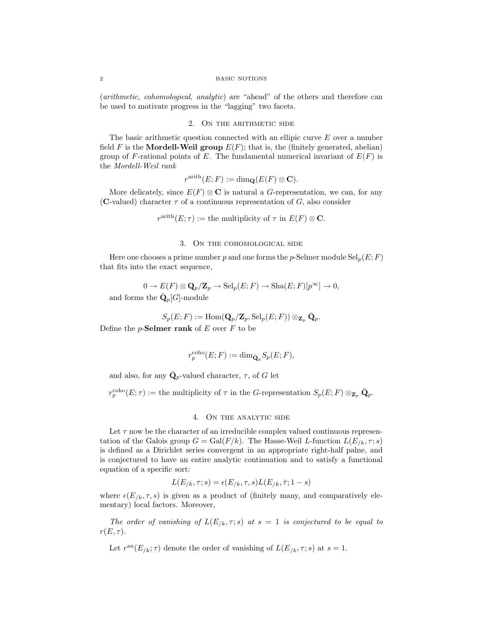(arithmetic, cohomological, analytic) are "ahead" of the others and therefore can be used to motivate progress in the "lagging" two facets.

## 2. On the arithmetic side

The basic arithmetic question connected with an ellipic curve  $E$  over a number field F is the **Mordell-Weil group**  $E(F)$ ; that is, the (finitely generated, abelian) group of F-rational points of E. The fundamental numerical invariant of  $E(F)$  is the Mordell-Weil rank

$$
r^{\text{arith}}(E;F) := \dim_{\mathbf{Q}}(E(F) \otimes \mathbf{C}).
$$

More delicately, since  $E(F) \otimes \mathbf{C}$  is natural a G-representation, we can, for any (C-valued) character  $\tau$  of a continuous representation of G, also consider

$$
r^{\text{arith}}(E; \tau) :=
$$
 the multiplicity of  $\tau$  in  $E(F) \otimes \mathbf{C}$ .

# 3. On the cohomological side

Here one chooses a prime number p and one forms the p-Selmer module  $\text{Sel}_n(E; F)$ that fits into the exact sequence,

$$
0 \to E(F) \otimes \mathbf{Q}_p/\mathbf{Z}_p \to \mathrm{Sel}_p(E; F) \to \mathrm{Sha}(E; F)[p^{\infty}] \to 0,
$$
 and forms the  $\bar{\mathbf{Q}}_p[G]$ -module

$$
S_p(E;F):=\operatorname{Hom}(\mathbf{Q}_p/\mathbf{Z}_p,\operatorname{Sel}_p(E;F))\otimes_{\mathbf{Z}_p} \bar{\mathbf{Q}}_p.
$$

Define the  $p$ -**Selmer rank** of  $E$  over  $F$  to be

$$
r_p^{\text{colo}}(E; F) := \dim_{\bar{\mathbf{Q}}_p} S_p(E; F),
$$

and also, for any  $\overline{\mathbf{Q}}_p$ -valued character,  $\tau$ , of G let

 $r_p^{coho}(E;\tau) :=$  the multiplicity of  $\tau$  in the G-representation  $S_p(E;F) \otimes_{\mathbf{Z}_p} \bar{\mathbf{Q}}_p$ .

## 4. On the analytic side

Let  $\tau$  now be the character of an irreducible complex valued continuous representation of the Galois group  $G = \text{Gal}(F/k)$ . The Hasse-Weil L-function  $L(E_{/k}, \tau; s)$ is defined as a Dirichlet series convergent in an appropriate right-half palne, and is conjectured to have an entire analytic continuation and to satisfy a functional equation of a specific sort:

$$
L(E_{/k}, \tau; s) = \epsilon(E_{/k}, \tau, s) L(E_{/k}, \bar{\tau}; 1 - s)
$$

where  $\epsilon(E_{/k}, \tau, s)$  is given as a product of (finitely many, and comparatively elementary) local factors. Moreover,

The order of vanishing of  $L(E_{/k}, \tau; s)$  at  $s = 1$  is conjectured to be equal to  $r(E, \tau)$ .

Let  $r^{\text{an}}(E_{/k}; \tau)$  denote the order of vanishing of  $L(E_{/k}, \tau; s)$  at  $s = 1$ .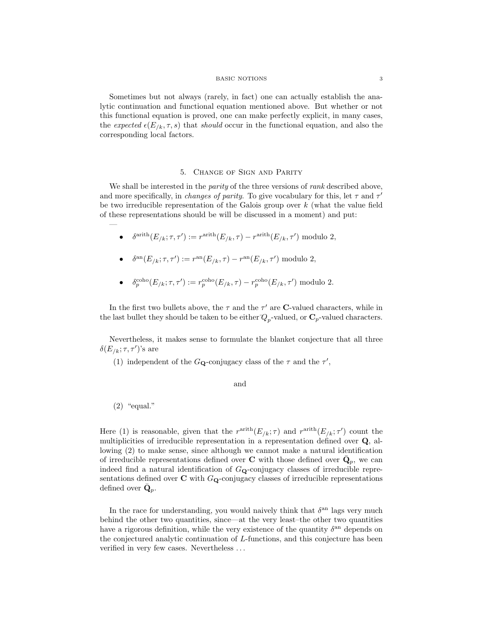Sometimes but not always (rarely, in fact) one can actually establish the analytic continuation and functional equation mentioned above. But whether or not this functional equation is proved, one can make perfectly explicit, in many cases, the expected  $\epsilon(E_k, \tau, s)$  that should occur in the functional equation, and also the corresponding local factors.

#### 5. Change of Sign and Parity

We shall be interested in the *parity* of the three versions of *rank* described above, and more specifically, in *changes of parity*. To give vocabulary for this, let  $\tau$  and  $\tau'$ be two irreducible representation of the Galois group over  $k$  (what the value field of these representations should be will be discussed in a moment) and put:

- $\delta^{\text{arith}}(E_{/k}; \tau, \tau') := r^{\text{arith}}(E_{/k}, \tau) r^{\text{arith}}(E_{/k}, \tau') \text{ modulo } 2,$
- $\delta^{an}(E_{/k}; \tau, \tau') := r^{an}(E_{/k}, \tau) r^{an}(E_{/k}, \tau') \text{ modulo } 2,$
- $\delta_p^{\text{coho}}(E_{/k}; \tau, \tau') := r_p^{\text{coho}}(E_{/k}, \tau) r_p^{\text{coho}}(E_{/k}, \tau') \text{ modulo } 2.$

In the first two bullets above, the  $\tau$  and the  $\tau'$  are **C**-valued characters, while in the last bullet they should be taken to be either  $Q_p$ -valued, or  $\mathbf{C}_p$ -valued characters.

Nevertheless, it makes sense to formulate the blanket conjecture that all three  $\delta(E_{/k}; \tau, \tau')$ 's are

(1) independent of the  $G_{\mathbf{Q}}$ -conjugacy class of the  $\tau$  and the  $\tau'$ ,

#### and

### (2) "equal."

—

Here (1) is reasonable, given that the  $r^{\text{arith}}(E_{/k}; \tau)$  and  $r^{\text{arith}}(E_{/k}; \tau')$  count the multiplicities of irreducible representation in a representation defined over Q, allowing (2) to make sense, since although we cannot make a natural identification of irreducible representations defined over **C** with those defined over  $\bar{\mathbf{Q}}_p$ , we can indeed find a natural identification of  $G_{\mathbf{Q}}$ -conjugacy classes of irreducible representations defined over  $C$  with  $G_{Q}$ -conjugacy classes of irreducible representations defined over  $\bar{\mathbf{Q}}_p$ .

In the race for understanding, you would naively think that  $\delta^{an}$  lags very much behind the other two quantities, since—at the very least–the other two quantities have a rigorous definition, while the very existence of the quantity  $\delta^{an}$  depends on the conjectured analytic continuation of L-functions, and this conjecture has been verified in very few cases. Nevertheless . . .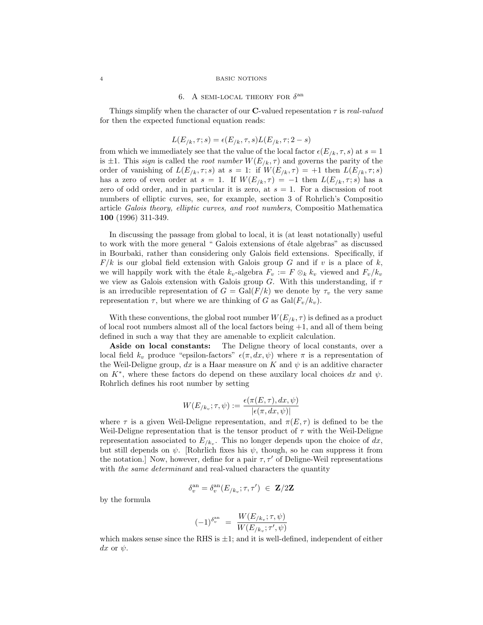# 6. A SEMI-LOCAL THEORY FOR  $\delta^{\rm an}$

Things simplify when the character of our **C**-valued repesentation  $\tau$  is *real-valued* for then the expected functional equation reads:

$$
L(E_{/k}, \tau; s) = \epsilon(E_{/k}, \tau, s) L(E_{/k}, \tau; 2 - s)
$$

from which we immediately see that the value of the local factor  $\epsilon(E_k, \tau, s)$  at  $s = 1$ is  $\pm 1$ . This sign is called the root number  $W(E_{/k}, \tau)$  and governs the parity of the order of vanishing of  $L(E_{/k}, \tau; s)$  at  $s = 1$ : if  $W(E_{/k}, \tau) = +1$  then  $L(E_{/k}, \tau; s)$ has a zero of even order at  $s = 1$ . If  $W(E_{/k}, \tau) = -1$  then  $L(E_{/k}, \tau; s)$  has a zero of odd order, and in particular it is zero, at  $s = 1$ . For a discussion of root numbers of elliptic curves, see, for example, section 3 of Rohrlich's Compositio article Galois theory, elliptic curves, and root numbers, Compositio Mathematica 100 (1996) 311-349.

In discussing the passage from global to local, it is (at least notationally) useful to work with the more general " Galois extensions of étale algebras" as discussed in Bourbaki, rather than considering only Galois field extensions. Specifically, if  $F/k$  is our global field extension with Galois group G and if v is a place of k, we will happily work with the étale  $k_v$ -algebra  $F_v := F \otimes_k k_v$  viewed and  $F_v/k_v$ we view as Galois extension with Galois group G. With this understanding, if  $\tau$ is an irreducible representation of  $G = \text{Gal}(F/k)$  we denote by  $\tau_v$  the very same representation  $\tau$ , but where we are thinking of G as  $Gal(F_v/k_v)$ .

With these conventions, the global root number  $W(E_{k}, \tau)$  is defined as a product of local root numbers almost all of the local factors being  $+1$ , and all of them being defined in such a way that they are amenable to explicit calculation.

Aside on local constants: The Deligne theory of local constants, over a local field  $k_v$  produce "epsilon-factors"  $\epsilon(\pi, dx, \psi)$  where  $\pi$  is a representation of the Weil-Deligne group, dx is a Haar measure on K and  $\psi$  is an additive character on  $K^*$ , where these factors do depend on these auxilary local choices dx and  $\psi$ . Rohrlich defines his root number by setting

$$
W(E_{/k_v};\tau,\psi):=\frac{\epsilon(\pi(E,\tau),dx,\psi)}{|\epsilon(\pi,dx,\psi)|}
$$

where  $\tau$  is a given Weil-Deligne representation, and  $\pi(E, \tau)$  is defined to be the Weil-Deligne representation that is the tensor product of  $\tau$  with the Weil-Deligne representation associated to  $E_{/k_v}$ . This no longer depends upon the choice of dx, but still depends on  $\psi$ . [Rohrlich fixes his  $\psi$ , though, so he can suppress it from the notation.] Now, however, define for a pair  $\tau$ ,  $\tau'$  of Deligne-Weil representations with the same determinant and real-valued characters the quantity

$$
\delta_v^{\rm an} = \delta_v^{\rm an}(E_{/k_v}; \tau, \tau') ~\in~ \mathbf{Z}/2\mathbf{Z}
$$

by the formula

$$
(-1)^{\delta_v^{\text{an}}} = \frac{W(E_{/k_v}; \tau, \psi)}{W(E_{/k_v}; \tau', \psi)}
$$

which makes sense since the RHS is  $\pm 1$ ; and it is well-defined, independent of either dx or  $\psi$ .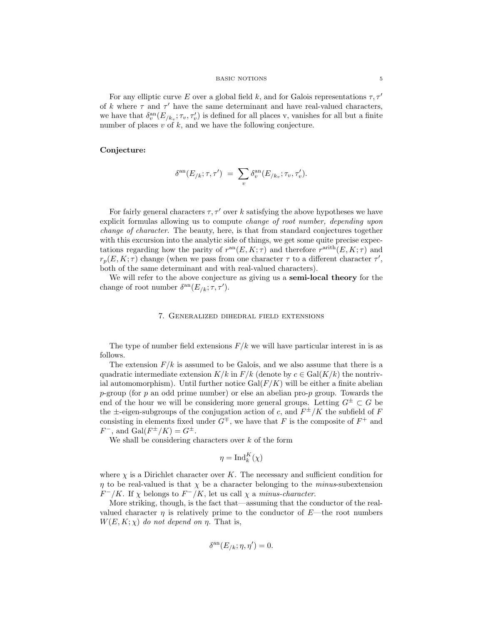For any elliptic curve E over a global field k, and for Galois representations  $\tau$ ,  $\tau'$ of k where  $\tau$  and  $\tau'$  have the same determinant and have real-valued characters, we have that  $\delta_v^{\text{an}}(E_{/k_v}; \tau_v, \tau_v')$  is defined for all places v, vanishes for all but a finite number of places  $v$  of  $k$ , and we have the following conjecture.

#### Conjecture:

$$
\delta^{\text{an}}(E_{/k}; \tau, \tau') = \sum_{v} \delta^{\text{an}}_{v}(E_{/k_v}; \tau_v, \tau'_v).
$$

For fairly general characters  $\tau$ ,  $\tau'$  over k satisfying the above hypotheses we have explicit formulas allowing us to compute change of root number, depending upon change of character. The beauty, here, is that from standard conjectures together with this excursion into the analytic side of things, we get some quite precise expectations regarding how the parity of  $r^{\text{an}}(E, K; \tau)$  and therefore  $r^{\text{arith}}(E, K; \tau)$  and  $r_p(E, K; \tau)$  change (when we pass from one character  $\tau$  to a different character  $\tau'$ , both of the same determinant and with real-valued characters).

We will refer to the above conjecture as giving us a **semi-local theory** for the change of root number  $\delta^{an}(E_{/k}; \tau, \tau').$ 

#### 7. Generalized dihedral field extensions

The type of number field extensions  $F/k$  we will have particular interest in is as follows.

The extension  $F/k$  is assumed to be Galois, and we also assume that there is a quadratic intermediate extension  $K/k$  in  $F/k$  (denote by  $c \in \text{Gal}(K/k)$  the nontrivial automomorphism). Until further notice  $Gal(F/K)$  will be either a finite abelian  $p$ -group (for p an odd prime number) or else an abelian pro-p group. Towards the end of the hour we will be considering more general groups. Letting  $G^{\pm} \subset G$  be the  $\pm$ -eigen-subgroups of the conjugation action of c, and  $F^{\pm}/K$  the subfield of F consisting in elements fixed under  $G^{\mp}$ , we have that F is the composite of  $F^+$  and  $F^-$ , and  $Gal(F^{\pm}/K) = G^{\pm}$ .

We shall be considering characters over  $k$  of the form

$$
\eta = \mathrm{Ind}_k^K(\chi)
$$

where  $\chi$  is a Dirichlet character over K. The necessary and sufficient condition for  $\eta$  to be real-valued is that  $\chi$  be a character belonging to the *minus*-subextension  $F^-/K$ . If  $\chi$  belongs to  $F^-/K$ , let us call  $\chi$  a minus-character.

More striking, though, is the fact that—assuming that the conductor of the realvalued character  $\eta$  is relatively prime to the conductor of E—the root numbers  $W(E, K; \chi)$  do not depend on  $\eta$ . That is,

$$
\delta^{\mathrm{an}}(E_{/k}; \eta, \eta') = 0.
$$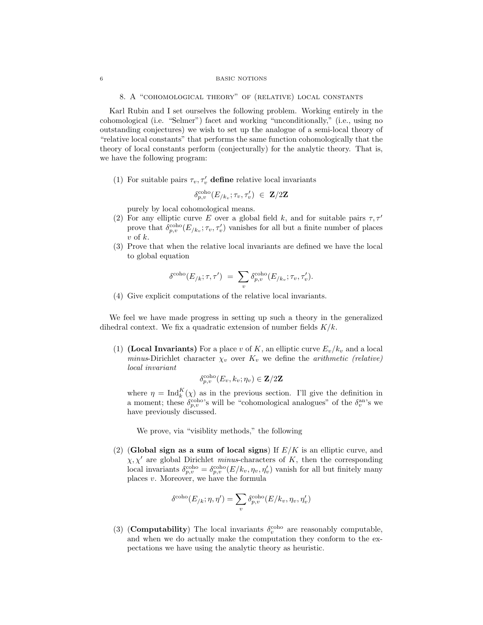8. A "cohomological theory" of (relative) local constants

Karl Rubin and I set ourselves the following problem. Working entirely in the cohomological (i.e. "Selmer") facet and working "unconditionally," (i.e., using no outstanding conjectures) we wish to set up the analogue of a semi-local theory of "relative local constants" that performs the same function cohomologically that the theory of local constants perform (conjecturally) for the analytic theory. That is, we have the following program:

(1) For suitable pairs  $\tau_v, \tau_v'$  define relative local invariants

$$
\delta_{p,v}^{\rm coho}(E_{/k_v};\tau_v,\tau'_v) \;\in\; {\mathbf Z}/2{\mathbf Z}
$$

purely by local cohomological means.

- (2) For any elliptic curve E over a global field k, and for suitable pairs  $\tau$ ,  $\tau'$ prove that  $\delta_{p,v}^{\text{coho}}(E_{/k_v}; \tau_v, \tau_v')$  vanishes for all but a finite number of places  $v$  of  $k$ .
- (3) Prove that when the relative local invariants are defined we have the local to global equation

$$
\delta^{\mathrm{coho}}(E_{/k}; \tau, \tau') = \sum_{v} \delta_{p,v}^{\mathrm{coho}}(E_{/k_v}; \tau_v, \tau'_v).
$$

(4) Give explicit computations of the relative local invariants.

We feel we have made progress in setting up such a theory in the generalized dihedral context. We fix a quadratic extension of number fields  $K/k$ .

(1) (Local Invariants) For a place v of K, an elliptic curve  $E_v/k_v$  and a local minus-Dirichlet character  $\chi_v$  over  $K_v$  we define the *arithmetic (relative)* local invariant

$$
\delta_{p,v}^{\rm coho}(E_v,k_v;\eta_v) \in \mathbf{Z}/2\mathbf{Z}
$$

where  $\eta = \text{Ind}_{k}^{K}(\chi)$  as in the previous section. I'll give the definition in a moment; these  $\delta_{p,v}^{\text{coh}}$ 's will be "cohomological analogues" of the  $\delta_v^{\text{an}}$ 's we have previously discussed.

We prove, via "visiblity methods," the following

(2) **(Global sign as a sum of local signs)** If  $E/K$  is an elliptic curve, and  $\chi, \chi'$  are global Dirichlet minus-characters of K, then the corresponding local invariants  $\delta_{p,v}^{\text{coho}} = \delta_{p,v}^{\text{coho}}(E/k_v, \eta_v, \eta'_v)$  vanish for all but finitely many places v. Moreover, we have the formula

$$
\delta^{\rm coho}(E_{/k}; \eta, \eta') = \sum_{v} \delta^{\rm coho}_{p,v}(E/k_v, \eta_v, \eta'_v)
$$

(3) (**Computability**) The local invariants  $\delta_v^{\text{colo}}$  are reasonably computable, and when we do actually make the computation they conform to the expectations we have using the analytic theory as heuristic.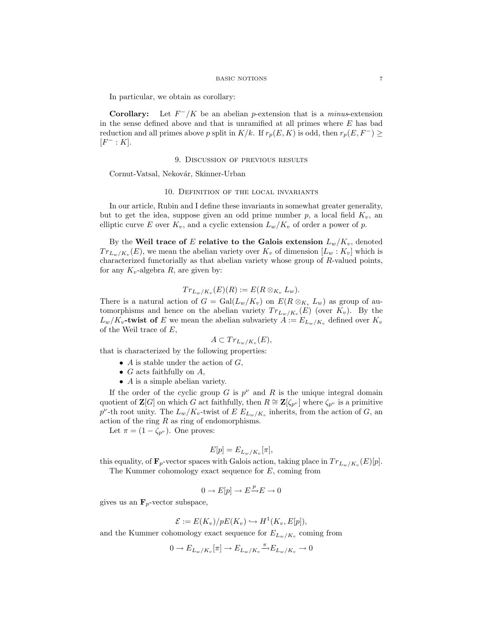In particular, we obtain as corollary:

Corollary: Let  $F^-/K$  be an abelian p-extension that is a minus-extension in the sense defined above and that is unramified at all primes where  $E$  has bad reduction and all primes above p split in  $K/k$ . If  $r_p(E, K)$  is odd, then  $r_p(E, F^-) \ge$  $[F^- : K].$ 

#### 9. Discussion of previous results

Cornut-Vatsal, Nekovár, Skinner-Urban

### 10. Definition of the local invariants

In our article, Rubin and I define these invariants in somewhat greater generality, but to get the idea, suppose given an odd prime number  $p$ , a local field  $K_v$ , an elliptic curve E over  $K_v$ , and a cyclic extension  $L_w/K_v$  of order a power of p.

By the Weil trace of E relative to the Galois extension  $L_w/K_v$ , denoted  $Tr_{L_w/K_v}(E)$ , we mean the abelian variety over  $K_v$  of dimension  $[L_w:K_v]$  which is characterized functorially as that abelian variety whose group of R-valued points, for any  $K_v$ -algebra R, are given by:

# $Tr_{L_w/K_v}(E)(R) := E(R \otimes_{K_v} L_w).$

There is a natural action of  $G = \text{Gal}(L_w/K_v)$  on  $E(R \otimes_{K_v} L_w)$  as group of automorphisms and hence on the abelian variety  $Tr_{L_w/K_v}(E)$  (over  $K_v$ ). By the  $L_w/K_v$ -twist of E we mean the abelian subvariety  $A := E_{L_w/K_v}$  defined over  $K_v$ of the Weil trace of  $E$ ,

$$
A \subset Tr_{L_w/K_v}(E),
$$

that is characterized by the following properties:

- A is stable under the action of  $G$ ,
- $G$  acts faithfully on  $A$ ,
- $\bullet$  A is a simple abelian variety.

If the order of the cyclic group G is  $p^{\nu}$  and R is the unique integral domain quotient of **Z**[G] on which G act faithfully, then  $R \cong \mathbf{Z}[\zeta_{p^{\nu}}]$  where  $\zeta_{p^{\nu}}$  is a primitive p<sup>v</sup>-th root unity. The  $L_w/K_v$ -twist of E  $E_{L_w/K_v}$  inherits, from the action of G, an action of the ring  $R$  as ring of endomorphisms.

Let  $\pi = (1 - \zeta_{p^{\nu}})$ . One proves:

$$
E[p] = E_{L_w/K_v}[\pi],
$$

this equality, of  $\mathbf{F}_p$ -vector spaces with Galois action, taking place in  $Tr_{L_w/K_v}(E)[p]$ .

The Kummer cohomology exact sequence for E, coming from

$$
0 \to E[p] \to E \xrightarrow{p} E \to 0
$$

gives us an  $\mathbf{F}_p$ -vector subspace,

$$
\mathcal{E} := E(K_v)/pE(K_v) \hookrightarrow H^1(K_v, E[p]),
$$

and the Kummer cohomology exact sequence for  $E_{L_w/K_v}$  coming from

$$
0 \to E_{L_w/K_v}[\pi] \to E_{L_w/K_v} \xrightarrow{\pi} E_{L_w/K_v} \to 0
$$